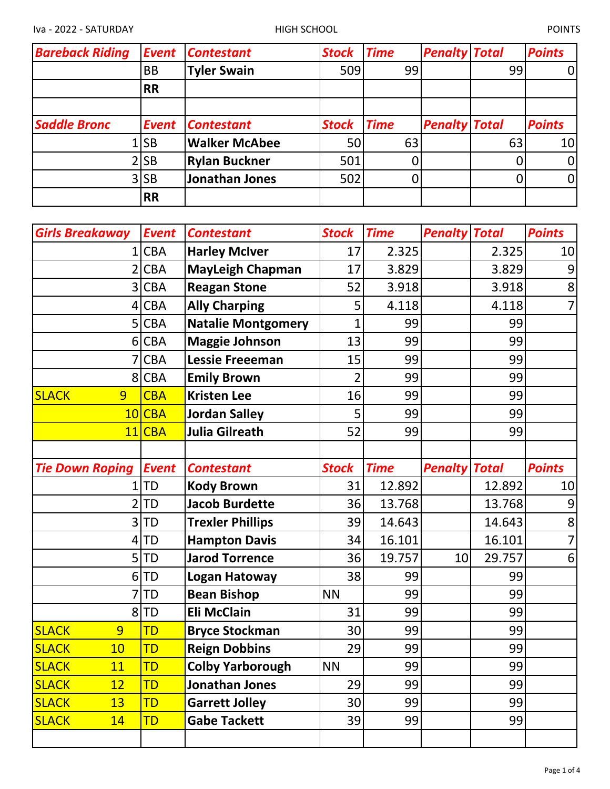| <b>Bareback Riding</b> | <b>Event</b> | <b>Contestant</b>    | <b>Stock</b> | <b>Time</b> | <b>Penalty Total</b> |    | <b>Points</b>   |
|------------------------|--------------|----------------------|--------------|-------------|----------------------|----|-----------------|
|                        | <b>BB</b>    | <b>Tyler Swain</b>   | 509          | 99          |                      | 99 | 0l              |
|                        | <b>RR</b>    |                      |              |             |                      |    |                 |
|                        |              |                      |              |             |                      |    |                 |
| <b>Saddle Bronc</b>    | <b>Event</b> | <b>Contestant</b>    | <b>Stock</b> | <b>Time</b> | <b>Penalty Total</b> |    | <b>Points</b>   |
|                        | 1 SB         | <b>Walker McAbee</b> | 50           | 63          |                      | 63 | 10 <sup>1</sup> |
|                        | 2 SB         | <b>Rylan Buckner</b> | 501          |             |                      |    | $\overline{0}$  |
|                        | 3 SB         | Jonathan Jones       | 502          |             |                      |    | $\overline{0}$  |
|                        | <b>RR</b>    |                      |              |             |                      |    |                 |

| <b>Girls Breakaway</b>    | <b>Event</b> | <b>Contestant</b>         | <b>Stock</b>   | <b>Time</b> | <b>Penalty Total</b> |              | <b>Points</b>  |
|---------------------------|--------------|---------------------------|----------------|-------------|----------------------|--------------|----------------|
|                           | <b>CBA</b>   | <b>Harley McIver</b>      | 17             | 2.325       |                      | 2.325        | 10             |
|                           | <b>CBA</b>   | <b>MayLeigh Chapman</b>   | 17             | 3.829       |                      | 3.829        | 9              |
| $\overline{3}$            | <b>CBA</b>   | <b>Reagan Stone</b>       | 52             | 3.918       |                      | 3.918        | 8              |
| $\overline{4}$            | <b>CBA</b>   | <b>Ally Charping</b>      | 5              | 4.118       |                      | 4.118        | $\overline{7}$ |
|                           | 5 CBA        | <b>Natalie Montgomery</b> | $\overline{1}$ | 99          |                      | 99           |                |
|                           | 6 CBA        | <b>Maggie Johnson</b>     | 13             | 99          |                      | 99           |                |
|                           | <b>CBA</b>   | <b>Lessie Freeeman</b>    | 15             | 99          |                      | 99           |                |
|                           | 8 CBA        | <b>Emily Brown</b>        | $\overline{2}$ | 99          |                      | 99           |                |
| <b>SLACK</b><br>9         | <b>CBA</b>   | <b>Kristen Lee</b>        | 16             | 99          |                      | 99           |                |
|                           | 10 CBA       | <b>Jordan Salley</b>      | 5              | 99          |                      | 99           |                |
|                           | 11 CBA       | <b>Julia Gilreath</b>     | 52             | 99          |                      | 99           |                |
|                           |              |                           |                |             |                      |              |                |
| <b>Tie Down Roping</b>    | <b>Event</b> | <b>Contestant</b>         | <b>Stock</b>   | <b>Time</b> | <b>Penalty</b>       | <b>Total</b> | <b>Points</b>  |
| 1                         | <b>TD</b>    | <b>Kody Brown</b>         | 31             | 12.892      |                      | 12.892       | 10             |
|                           | <b>TD</b>    | <b>Jacob Burdette</b>     | 36             | 13.768      |                      | 13.768       | 9              |
| 3                         | <b>TD</b>    | <b>Trexler Phillips</b>   | 39             | 14.643      |                      | 14.643       | 8              |
| 4                         | <b>TD</b>    | <b>Hampton Davis</b>      | 34             | 16.101      |                      | 16.101       | $\overline{7}$ |
| 5                         | <b>TD</b>    | <b>Jarod Torrence</b>     | 36             | 19.757      | 10                   | 29.757       | 6              |
| 6                         | <b>TD</b>    | Logan Hatoway             | 38             | 99          |                      | 99           |                |
|                           | <b>TD</b>    | <b>Bean Bishop</b>        | <b>NN</b>      | 99          |                      | 99           |                |
| 8                         | <b>TD</b>    | Eli McClain               | 31             | 99          |                      | 99           |                |
| <b>SLACK</b><br>9         | TD           | <b>Bryce Stockman</b>     | 30             | 99          |                      | 99           |                |
| <b>SLACK</b><br>10        | TD           | <b>Reign Dobbins</b>      | 29             | 99          |                      | 99           |                |
| <b>SLACK</b><br><b>11</b> | <b>TD</b>    | <b>Colby Yarborough</b>   | <b>NN</b>      | 99          |                      | 99           |                |
| <b>SLACK</b><br>12        | TD           | Jonathan Jones            | 29             | 99          |                      | 99           |                |
| <b>SLACK</b><br>13        | TD           | <b>Garrett Jolley</b>     | 30             | 99          |                      | 99           |                |
| <b>SLACK</b><br>14        | TD           | <b>Gabe Tackett</b>       | 39             | 99          |                      | 99           |                |
|                           |              |                           |                |             |                      |              |                |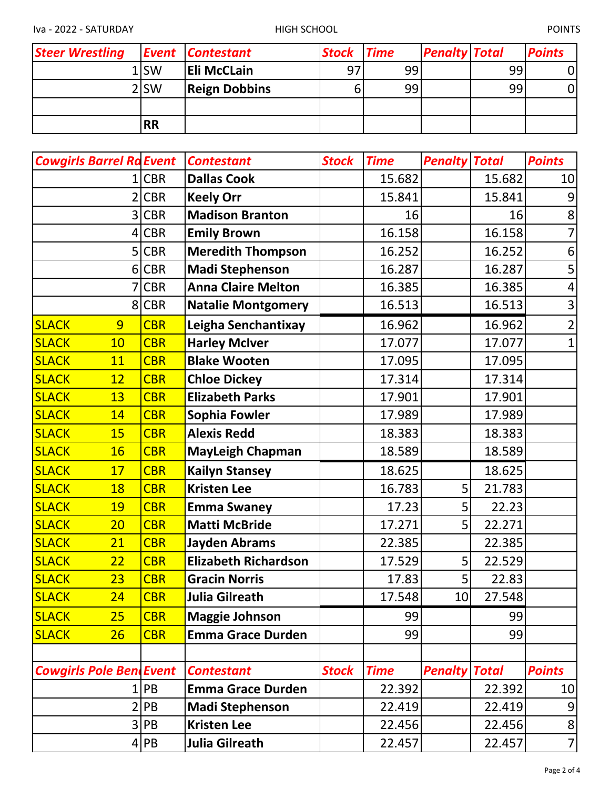Iva - 2022 - SATURDAY HIGH SCHOOL POINTS

| <b>Steer Wrestling</b> |                  | <b>Event Contestant</b> | <b>Stock Time</b> |    | <b>Penalty Total</b> |    | <b>Points</b> |
|------------------------|------------------|-------------------------|-------------------|----|----------------------|----|---------------|
|                        | 1lSW             | <b>Eli McCLain</b>      | 97                | 99 |                      | 99 |               |
|                        | 2 <sub>ISW</sub> | <b>Reign Dobbins</b>    |                   | 99 |                      | 99 |               |
|                        |                  |                         |                   |    |                      |    |               |
|                        | <b>RR</b>        |                         |                   |    |                      |    |               |

|              | <b>Cowgirls Barrel Ra Event</b> |            | <b>Contestant</b>           | <b>Stock</b> | <b>Time</b> | <b>Penalty Total</b> |        | <b>Points</b>  |
|--------------|---------------------------------|------------|-----------------------------|--------------|-------------|----------------------|--------|----------------|
|              |                                 | 1 CBR      | <b>Dallas Cook</b>          |              | 15.682      |                      | 15.682 | 10             |
|              |                                 | 2 CBR      | <b>Keely Orr</b>            |              | 15.841      |                      | 15.841 |                |
|              |                                 | 3 CBR      | <b>Madison Branton</b>      |              | 16          |                      | 16     | 8              |
|              |                                 | 4 CBR      | <b>Emily Brown</b>          |              | 16.158      |                      | 16.158 |                |
|              |                                 | 5 CBR      | <b>Meredith Thompson</b>    |              | 16.252      |                      | 16.252 | 6              |
|              |                                 | 6 CBR      | <b>Madi Stephenson</b>      |              | 16.287      |                      | 16.287 | 5              |
|              |                                 | 7 CBR      | <b>Anna Claire Melton</b>   |              | 16.385      |                      | 16.385 | 4              |
|              |                                 | 8 CBR      | <b>Natalie Montgomery</b>   |              | 16.513      |                      | 16.513 | 3              |
| <b>SLACK</b> | $\overline{9}$                  | <b>CBR</b> | Leigha Senchantixay         |              | 16.962      |                      | 16.962 | $\overline{2}$ |
| <b>SLACK</b> | 10                              | <b>CBR</b> | <b>Harley McIver</b>        |              | 17.077      |                      | 17.077 | $\overline{1}$ |
| <b>SLACK</b> | 11                              | <b>CBR</b> | <b>Blake Wooten</b>         |              | 17.095      |                      | 17.095 |                |
| <b>SLACK</b> | 12                              | <b>CBR</b> | <b>Chloe Dickey</b>         |              | 17.314      |                      | 17.314 |                |
| <b>SLACK</b> | 13                              | <b>CBR</b> | <b>Elizabeth Parks</b>      |              | 17.901      |                      | 17.901 |                |
| <b>SLACK</b> | 14                              | <b>CBR</b> | <b>Sophia Fowler</b>        |              | 17.989      |                      | 17.989 |                |
| <b>SLACK</b> | 15                              | <b>CBR</b> | <b>Alexis Redd</b>          |              | 18.383      |                      | 18.383 |                |
| <b>SLACK</b> | 16                              | <b>CBR</b> | <b>MayLeigh Chapman</b>     |              | 18.589      |                      | 18.589 |                |
| <b>SLACK</b> | 17                              | <b>CBR</b> | <b>Kailyn Stansey</b>       |              | 18.625      |                      | 18.625 |                |
| <b>SLACK</b> | <b>18</b>                       | <b>CBR</b> | <b>Kristen Lee</b>          |              | 16.783      | 5                    | 21.783 |                |
| <b>SLACK</b> | 19                              | <b>CBR</b> | <b>Emma Swaney</b>          |              | 17.23       | 5                    | 22.23  |                |
| <b>SLACK</b> | 20                              | <b>CBR</b> | <b>Matti McBride</b>        |              | 17.271      | 5                    | 22.271 |                |
| <b>SLACK</b> | 21                              | <b>CBR</b> | <b>Jayden Abrams</b>        |              | 22.385      |                      | 22.385 |                |
| <b>SLACK</b> | 22                              | <b>CBR</b> | <b>Elizabeth Richardson</b> |              | 17.529      | 5                    | 22.529 |                |
| <b>SLACK</b> | 23                              | <b>CBR</b> | <b>Gracin Norris</b>        |              | 17.83       | 5                    | 22.83  |                |
| SLACK        | <b>24</b>                       | <b>CBR</b> | Julia Gilreath              |              | 17.548      | 10                   | 27.548 |                |
| <b>SLACK</b> | 25                              | <b>CBR</b> | <b>Maggie Johnson</b>       |              | 99          |                      | 99     |                |
| <b>SLACK</b> | 26                              | <b>CBR</b> | <b>Emma Grace Durden</b>    |              | 99          |                      | 99     |                |
|              |                                 |            |                             |              |             |                      |        |                |
|              | <b>Cowgirls Pole BendEvent</b>  |            | <b>Contestant</b>           | <b>Stock</b> | <b>Time</b> | <b>Penalty Total</b> |        | <b>Points</b>  |
|              |                                 | 1 PB       | <b>Emma Grace Durden</b>    |              | 22.392      |                      | 22.392 | 10             |
|              |                                 | 2 PB       | <b>Madi Stephenson</b>      |              | 22.419      |                      | 22.419 | 9              |
|              |                                 | 3 PB       | <b>Kristen Lee</b>          |              | 22.456      |                      | 22.456 | 8              |
|              |                                 | 4 PB       | Julia Gilreath              |              | 22.457      |                      | 22.457 | $\overline{7}$ |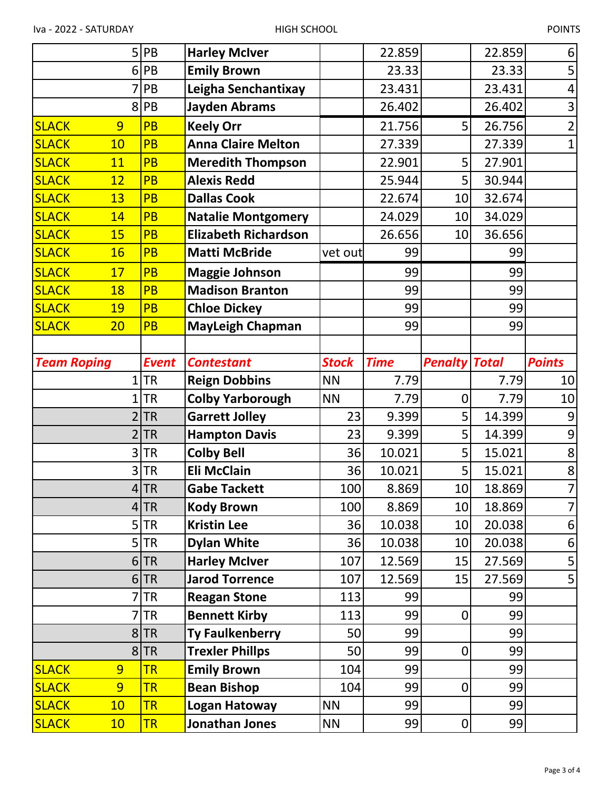|                                | $5$ PB       | <b>Harley McIver</b>        |              | 22.859      |                      | 22.859 | 6                              |
|--------------------------------|--------------|-----------------------------|--------------|-------------|----------------------|--------|--------------------------------|
|                                | 6 PB         | <b>Emily Brown</b>          |              | 23.33       |                      | 23.33  | 5                              |
|                                | PB           | Leigha Senchantixay         |              | 23.431      |                      | 23.431 | 4                              |
| 8 <sup>1</sup>                 | PB           | <b>Jayden Abrams</b>        |              | 26.402      |                      | 26.402 | 3                              |
| <b>SLACK</b><br>9              | PB           | <b>Keely Orr</b>            |              | 21.756      | 5                    | 26.756 | $\overline{2}$                 |
| <b>SLACK</b><br>10             | <b>PB</b>    | <b>Anna Claire Melton</b>   |              | 27.339      |                      | 27.339 | $\mathbf{1}$                   |
| <b>SLACK</b><br>11             | PB           | <b>Meredith Thompson</b>    |              | 22.901      | 5                    | 27.901 |                                |
| <b>SLACK</b><br>12             | PB           | <b>Alexis Redd</b>          |              | 25.944      | 5                    | 30.944 |                                |
| <b>SLACK</b><br>13             | <b>PB</b>    | <b>Dallas Cook</b>          |              | 22.674      | 10                   | 32.674 |                                |
| <b>SLACK</b><br>14             | PB           | <b>Natalie Montgomery</b>   |              | 24.029      | 10                   | 34.029 |                                |
| <b>SLACK</b><br>15             | PB           | <b>Elizabeth Richardson</b> |              | 26.656      | 10                   | 36.656 |                                |
| <b>SLACK</b><br><b>16</b>      | PB           | <b>Matti McBride</b>        | vet out      | 99          |                      | 99     |                                |
| <b>SLACK</b><br>17             | <b>PB</b>    | <b>Maggie Johnson</b>       |              | 99          |                      | 99     |                                |
| <b>SLACK</b><br>18             | PB           | <b>Madison Branton</b>      |              | 99          |                      | 99     |                                |
| <b>SLACK</b><br><b>19</b>      | <b>PB</b>    | <b>Chloe Dickey</b>         |              | 99          |                      | 99     |                                |
| <b>SLACK</b><br>20             | <b>PB</b>    | <b>MayLeigh Chapman</b>     |              | 99          |                      | 99     |                                |
|                                |              |                             |              |             |                      |        |                                |
| <b>Team Roping</b>             | <b>Event</b> | <b>Contestant</b>           | <b>Stock</b> | <b>Time</b> | <b>Penalty Total</b> |        | <b>Points</b>                  |
|                                | $1$ TR       | <b>Reign Dobbins</b>        | <b>NN</b>    | 7.79        |                      | 7.79   | 10                             |
|                                |              |                             |              |             |                      |        |                                |
| $\mathbf 1$                    | <b>TR</b>    | <b>Colby Yarborough</b>     | <b>NN</b>    | 7.79        | 0                    | 7.79   |                                |
| $\overline{2}$                 | <b>TR</b>    | <b>Garrett Jolley</b>       | 23           | 9.399       | 5                    | 14.399 | 9                              |
| $\overline{2}$                 | <b>TR</b>    | <b>Hampton Davis</b>        | 23           | 9.399       | 5                    | 14.399 | $\overline{9}$                 |
| $\overline{3}$                 | <b>TR</b>    | <b>Colby Bell</b>           | 36           | 10.021      | 5                    | 15.021 | $\bf 8$                        |
| 3                              | <b>TR</b>    | <b>Eli McClain</b>          | 36           | 10.021      | 5                    | 15.021 | $\bf 8$                        |
|                                | 4 TR         | <b>Gabe Tackett</b>         | 100          | 8.869       | 10                   | 18.869 |                                |
|                                | 4 TR         | <b>Kody Brown</b>           | 100          | 8.869       | 10                   | 18.869 |                                |
|                                | 5 TR         | <b>Kristin Lee</b>          | 36           | 10.038      | 10                   | 20.038 |                                |
|                                | $5$ TR       | <b>Dylan White</b>          | 36           | 10.038      | 10                   | 20.038 | 6                              |
|                                | 6 TR         | <b>Harley McIver</b>        | 107          | 12.569      | 15                   | 27.569 | 5                              |
|                                | 6 TR         | <b>Jarod Torrence</b>       | 107          | 12.569      | 15                   | 27.569 | 5                              |
|                                | 7 TR         | <b>Reagan Stone</b>         | 113          | 99          |                      | 99     |                                |
|                                | $7$ TR       | <b>Bennett Kirby</b>        | 113          | 99          | 0                    | 99     |                                |
|                                | 8 TR         | <b>Ty Faulkenberry</b>      | 50           | 99          |                      | 99     |                                |
|                                | $8$ TR       | <b>Trexler Phillps</b>      | 50           | 99          | 0                    | 99     |                                |
| <b>SLACK</b><br>9              | <b>TR</b>    | <b>Emily Brown</b>          | 104          | 99          |                      | 99     |                                |
| $\overline{9}$<br><b>SLACK</b> | <b>TR</b>    | <b>Bean Bishop</b>          | 104          | 99          | 0                    | 99     |                                |
| <b>SLACK</b><br>10             | <b>TR</b>    | Logan Hatoway               | <b>NN</b>    | 99          |                      | 99     | 10<br>7<br>7 <sup>1</sup><br>6 |